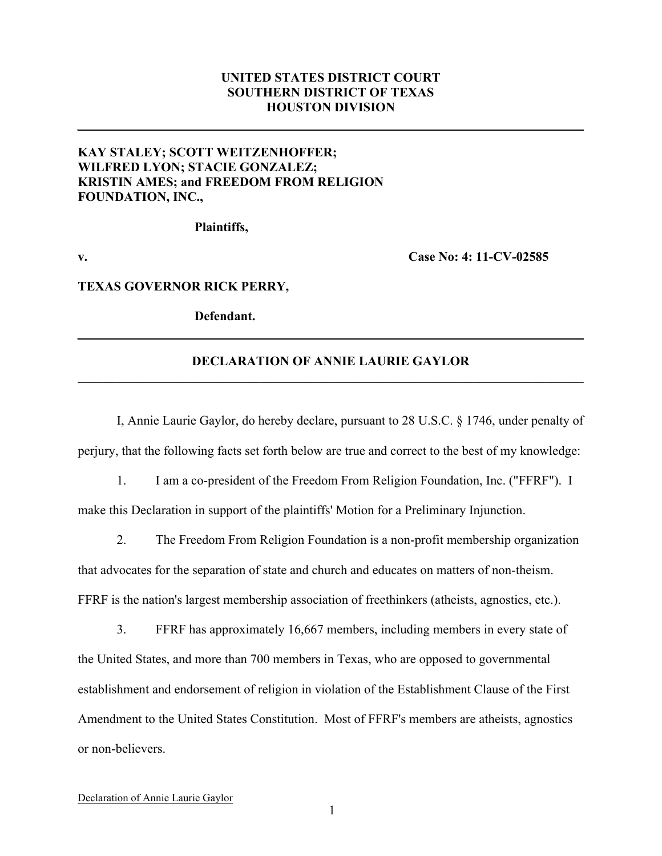## **UNITED STATES DISTRICT COURT SOUTHERN DISTRICT OF TEXAS HOUSTON DIVISION**

## **KAY STALEY; SCOTT WEITZENHOFFER; WILFRED LYON; STACIE GONZALEZ; KRISTIN AMES; and FREEDOM FROM RELIGION FOUNDATION, INC.,**

**Plaintiffs,**

**v. Case No: 4: 11-CV-02585**

#### **TEXAS GOVERNOR RICK PERRY,**

**Defendant.**

### **DECLARATION OF ANNIE LAURIE GAYLOR**  $\mathcal{L}_\mathcal{L} = \{ \mathcal{L}_\mathcal{L} = \{ \mathcal{L}_\mathcal{L} = \{ \mathcal{L}_\mathcal{L} = \{ \mathcal{L}_\mathcal{L} = \{ \mathcal{L}_\mathcal{L} = \{ \mathcal{L}_\mathcal{L} = \{ \mathcal{L}_\mathcal{L} = \{ \mathcal{L}_\mathcal{L} = \{ \mathcal{L}_\mathcal{L} = \{ \mathcal{L}_\mathcal{L} = \{ \mathcal{L}_\mathcal{L} = \{ \mathcal{L}_\mathcal{L} = \{ \mathcal{L}_\mathcal{L} = \{ \mathcal{L}_\mathcal{$

I, Annie Laurie Gaylor, do hereby declare, pursuant to 28 U.S.C. § 1746, under penalty of perjury, that the following facts set forth below are true and correct to the best of my knowledge:

1. I am a co-president of the Freedom From Religion Foundation, Inc. ("FFRF"). I make this Declaration in support of the plaintiffs' Motion for a Preliminary Injunction.

2. The Freedom From Religion Foundation is a non-profit membership organization that advocates for the separation of state and church and educates on matters of non-theism. FFRF is the nation's largest membership association of freethinkers (atheists, agnostics, etc.).

3. FFRF has approximately 16,667 members, including members in every state of the United States, and more than 700 members in Texas, who are opposed to governmental establishment and endorsement of religion in violation of the Establishment Clause of the First Amendment to the United States Constitution. Most of FFRF's members are atheists, agnostics or non-believers.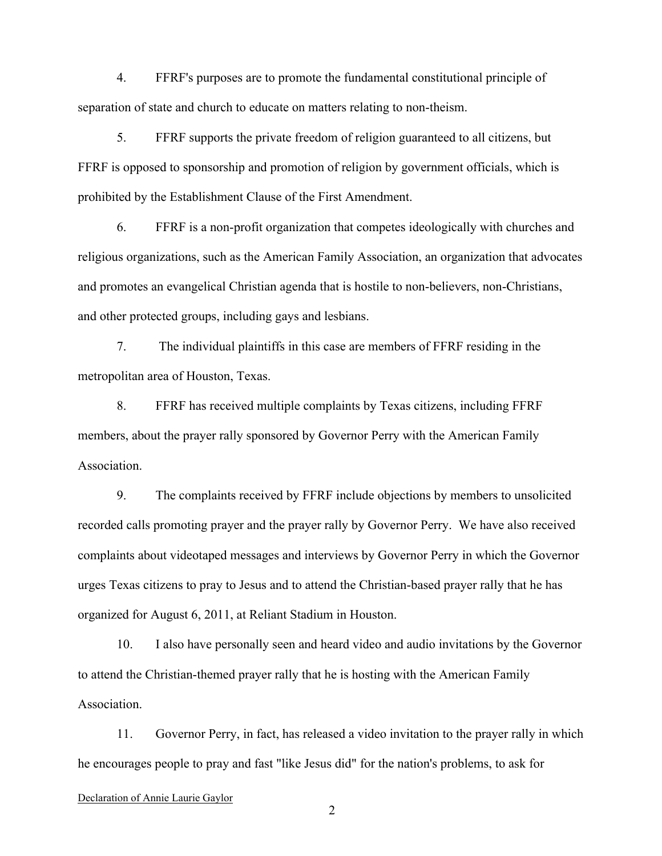4. FFRF's purposes are to promote the fundamental constitutional principle of separation of state and church to educate on matters relating to non-theism.

5. FFRF supports the private freedom of religion guaranteed to all citizens, but FFRF is opposed to sponsorship and promotion of religion by government officials, which is prohibited by the Establishment Clause of the First Amendment.

6. FFRF is a non-profit organization that competes ideologically with churches and religious organizations, such as the American Family Association, an organization that advocates and promotes an evangelical Christian agenda that is hostile to non-believers, non-Christians, and other protected groups, including gays and lesbians.

7. The individual plaintiffs in this case are members of FFRF residing in the metropolitan area of Houston, Texas.

8. FFRF has received multiple complaints by Texas citizens, including FFRF members, about the prayer rally sponsored by Governor Perry with the American Family Association.

9. The complaints received by FFRF include objections by members to unsolicited recorded calls promoting prayer and the prayer rally by Governor Perry. We have also received complaints about videotaped messages and interviews by Governor Perry in which the Governor urges Texas citizens to pray to Jesus and to attend the Christian-based prayer rally that he has organized for August 6, 2011, at Reliant Stadium in Houston.

10. I also have personally seen and heard video and audio invitations by the Governor to attend the Christian-themed prayer rally that he is hosting with the American Family Association.

11. Governor Perry, in fact, has released a video invitation to the prayer rally in which he encourages people to pray and fast "like Jesus did" for the nation's problems, to ask for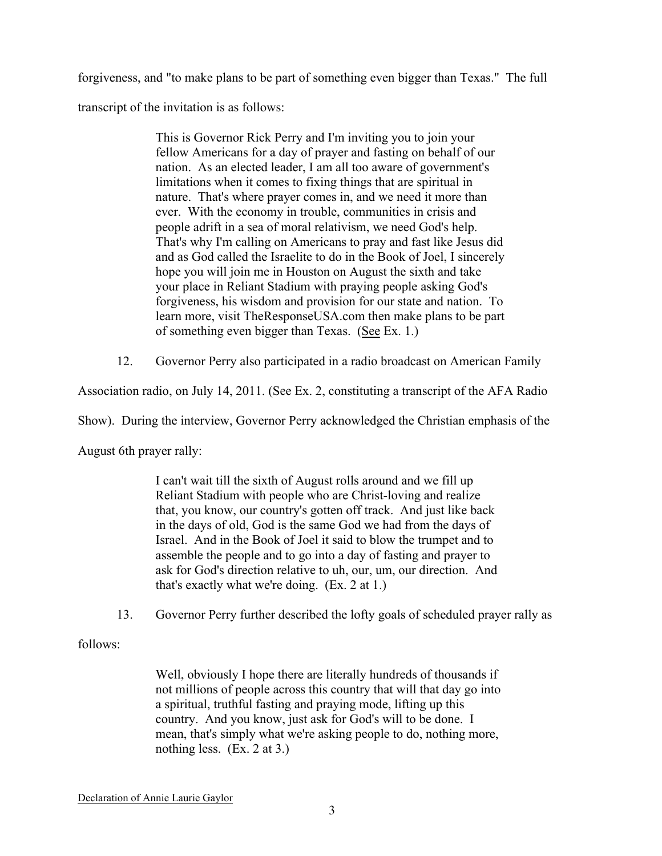forgiveness, and "to make plans to be part of something even bigger than Texas." The full transcript of the invitation is as follows:

> This is Governor Rick Perry and I'm inviting you to join your fellow Americans for a day of prayer and fasting on behalf of our nation. As an elected leader, I am all too aware of government's limitations when it comes to fixing things that are spiritual in nature. That's where prayer comes in, and we need it more than ever. With the economy in trouble, communities in crisis and people adrift in a sea of moral relativism, we need God's help. That's why I'm calling on Americans to pray and fast like Jesus did and as God called the Israelite to do in the Book of Joel, I sincerely hope you will join me in Houston on August the sixth and take your place in Reliant Stadium with praying people asking God's forgiveness, his wisdom and provision for our state and nation. To learn more, visit TheResponseUSA.com then make plans to be part of something even bigger than Texas. (See Ex. 1.)

12. Governor Perry also participated in a radio broadcast on American Family

Association radio, on July 14, 2011. (See Ex. 2, constituting a transcript of the AFA Radio

Show). During the interview, Governor Perry acknowledged the Christian emphasis of the

August 6th prayer rally:

I can't wait till the sixth of August rolls around and we fill up Reliant Stadium with people who are Christ-loving and realize that, you know, our country's gotten off track. And just like back in the days of old, God is the same God we had from the days of Israel. And in the Book of Joel it said to blow the trumpet and to assemble the people and to go into a day of fasting and prayer to ask for God's direction relative to uh, our, um, our direction. And that's exactly what we're doing. (Ex. 2 at 1.)

13. Governor Perry further described the lofty goals of scheduled prayer rally as

follows:

Well, obviously I hope there are literally hundreds of thousands if not millions of people across this country that will that day go into a spiritual, truthful fasting and praying mode, lifting up this country. And you know, just ask for God's will to be done. I mean, that's simply what we're asking people to do, nothing more, nothing less. (Ex. 2 at 3.)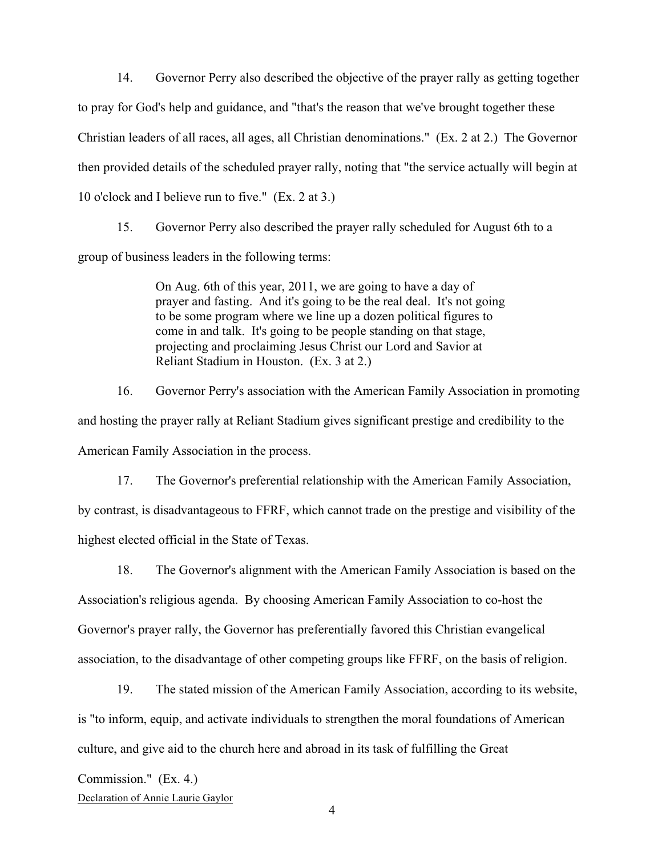14. Governor Perry also described the objective of the prayer rally as getting together to pray for God's help and guidance, and "that's the reason that we've brought together these Christian leaders of all races, all ages, all Christian denominations." (Ex. 2 at 2.) The Governor then provided details of the scheduled prayer rally, noting that "the service actually will begin at 10 o'clock and I believe run to five." (Ex. 2 at 3.)

15. Governor Perry also described the prayer rally scheduled for August 6th to a group of business leaders in the following terms:

> On Aug. 6th of this year, 2011, we are going to have a day of prayer and fasting. And it's going to be the real deal. It's not going to be some program where we line up a dozen political figures to come in and talk. It's going to be people standing on that stage, projecting and proclaiming Jesus Christ our Lord and Savior at Reliant Stadium in Houston. (Ex. 3 at 2.)

16. Governor Perry's association with the American Family Association in promoting and hosting the prayer rally at Reliant Stadium gives significant prestige and credibility to the American Family Association in the process.

17. The Governor's preferential relationship with the American Family Association, by contrast, is disadvantageous to FFRF, which cannot trade on the prestige and visibility of the highest elected official in the State of Texas.

18. The Governor's alignment with the American Family Association is based on the Association's religious agenda. By choosing American Family Association to co-host the Governor's prayer rally, the Governor has preferentially favored this Christian evangelical association, to the disadvantage of other competing groups like FFRF, on the basis of religion.

19. The stated mission of the American Family Association, according to its website, is "to inform, equip, and activate individuals to strengthen the moral foundations of American culture, and give aid to the church here and abroad in its task of fulfilling the Great

Commission." (Ex. 4.)

Declaration of Annie Laurie Gaylor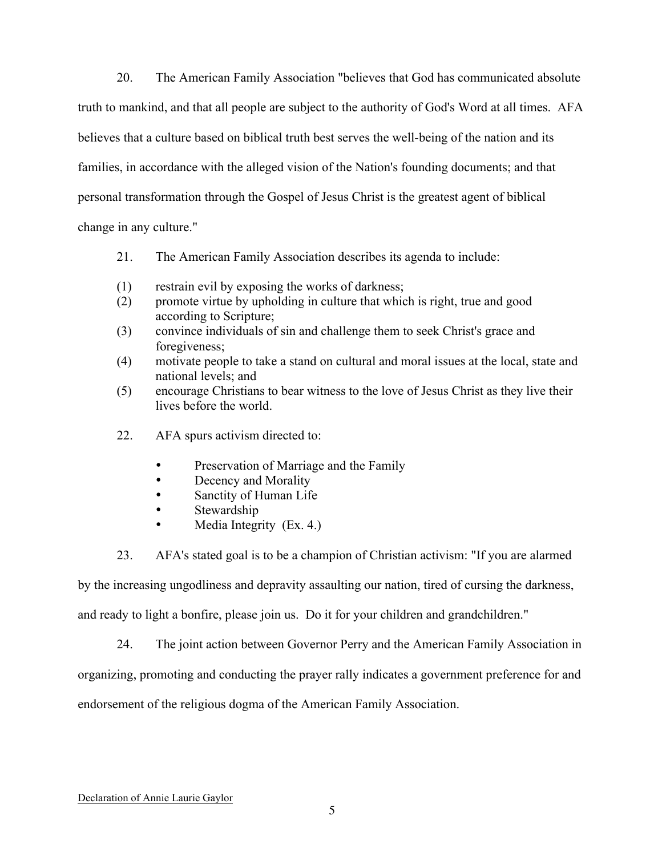20. The American Family Association "believes that God has communicated absolute truth to mankind, and that all people are subject to the authority of God's Word at all times. AFA believes that a culture based on biblical truth best serves the well-being of the nation and its families, in accordance with the alleged vision of the Nation's founding documents; and that personal transformation through the Gospel of Jesus Christ is the greatest agent of biblical change in any culture."

- 21. The American Family Association describes its agenda to include:
- (1) restrain evil by exposing the works of darkness;
- (2) promote virtue by upholding in culture that which is right, true and good according to Scripture;
- (3) convince individuals of sin and challenge them to seek Christ's grace and foregiveness;
- (4) motivate people to take a stand on cultural and moral issues at the local, state and national levels; and
- (5) encourage Christians to bear witness to the love of Jesus Christ as they live their lives before the world.
- 22. AFA spurs activism directed to:
	- Preservation of Marriage and the Family
	- Decency and Morality
	- Sanctity of Human Life
	- Stewardship
	- Media Integrity (Ex. 4.)
- 23. AFA's stated goal is to be a champion of Christian activism: "If you are alarmed

by the increasing ungodliness and depravity assaulting our nation, tired of cursing the darkness,

and ready to light a bonfire, please join us. Do it for your children and grandchildren."

24. The joint action between Governor Perry and the American Family Association in organizing, promoting and conducting the prayer rally indicates a government preference for and endorsement of the religious dogma of the American Family Association.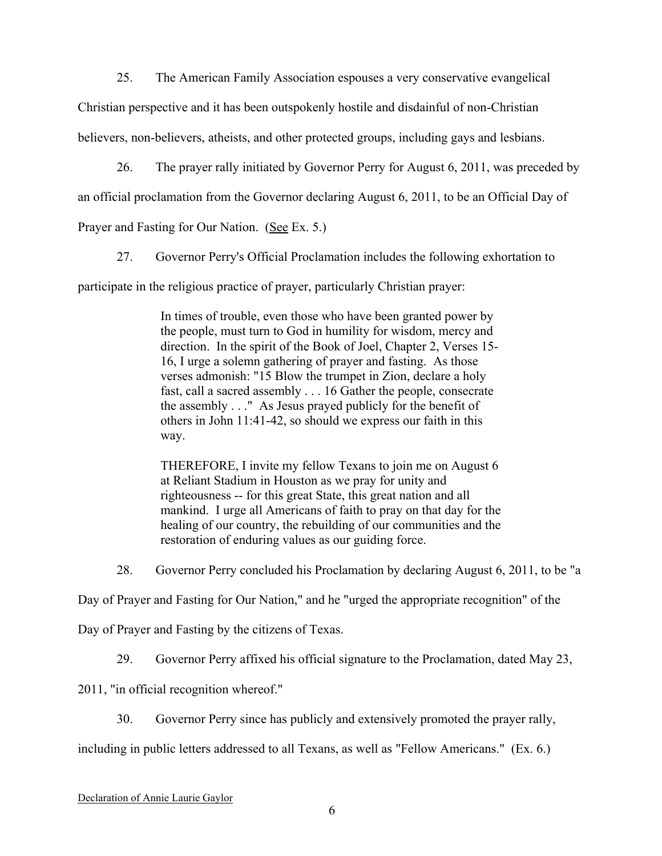25. The American Family Association espouses a very conservative evangelical

Christian perspective and it has been outspokenly hostile and disdainful of non-Christian

believers, non-believers, atheists, and other protected groups, including gays and lesbians.

26. The prayer rally initiated by Governor Perry for August 6, 2011, was preceded by

an official proclamation from the Governor declaring August 6, 2011, to be an Official Day of

Prayer and Fasting for Our Nation. (See Ex. 5.)

27. Governor Perry's Official Proclamation includes the following exhortation to

participate in the religious practice of prayer, particularly Christian prayer:

In times of trouble, even those who have been granted power by the people, must turn to God in humility for wisdom, mercy and direction. In the spirit of the Book of Joel, Chapter 2, Verses 15- 16, I urge a solemn gathering of prayer and fasting. As those verses admonish: "15 Blow the trumpet in Zion, declare a holy fast, call a sacred assembly . . . 16 Gather the people, consecrate the assembly . . ." As Jesus prayed publicly for the benefit of others in John 11:41-42, so should we express our faith in this way.

THEREFORE, I invite my fellow Texans to join me on August 6 at Reliant Stadium in Houston as we pray for unity and righteousness -- for this great State, this great nation and all mankind. I urge all Americans of faith to pray on that day for the healing of our country, the rebuilding of our communities and the restoration of enduring values as our guiding force.

28. Governor Perry concluded his Proclamation by declaring August 6, 2011, to be "a

Day of Prayer and Fasting for Our Nation," and he "urged the appropriate recognition" of the

Day of Prayer and Fasting by the citizens of Texas.

29. Governor Perry affixed his official signature to the Proclamation, dated May 23,

2011, "in official recognition whereof."

30. Governor Perry since has publicly and extensively promoted the prayer rally,

including in public letters addressed to all Texans, as well as "Fellow Americans." (Ex. 6.)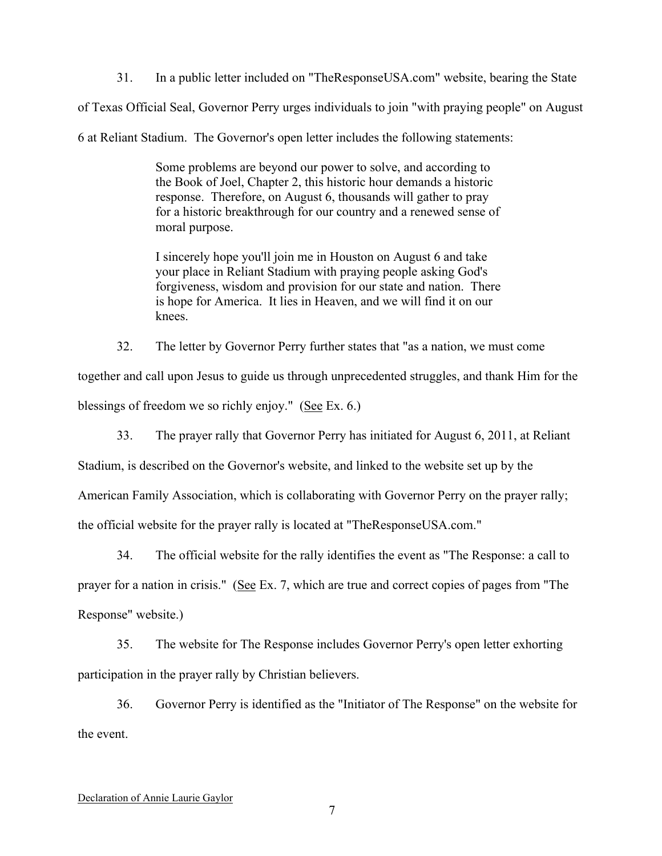31. In a public letter included on "TheResponseUSA.com" website, bearing the State

of Texas Official Seal, Governor Perry urges individuals to join "with praying people" on August

6 at Reliant Stadium. The Governor's open letter includes the following statements:

Some problems are beyond our power to solve, and according to the Book of Joel, Chapter 2, this historic hour demands a historic response. Therefore, on August 6, thousands will gather to pray for a historic breakthrough for our country and a renewed sense of moral purpose.

I sincerely hope you'll join me in Houston on August 6 and take your place in Reliant Stadium with praying people asking God's forgiveness, wisdom and provision for our state and nation. There is hope for America. It lies in Heaven, and we will find it on our knees.

32. The letter by Governor Perry further states that "as a nation, we must come

together and call upon Jesus to guide us through unprecedented struggles, and thank Him for the blessings of freedom we so richly enjoy." (See Ex. 6.)

33. The prayer rally that Governor Perry has initiated for August 6, 2011, at Reliant

Stadium, is described on the Governor's website, and linked to the website set up by the

American Family Association, which is collaborating with Governor Perry on the prayer rally;

the official website for the prayer rally is located at "TheResponseUSA.com."

34. The official website for the rally identifies the event as "The Response: a call to prayer for a nation in crisis." (See Ex. 7, which are true and correct copies of pages from "The Response" website.)

35. The website for The Response includes Governor Perry's open letter exhorting participation in the prayer rally by Christian believers.

36. Governor Perry is identified as the "Initiator of The Response" on the website for the event.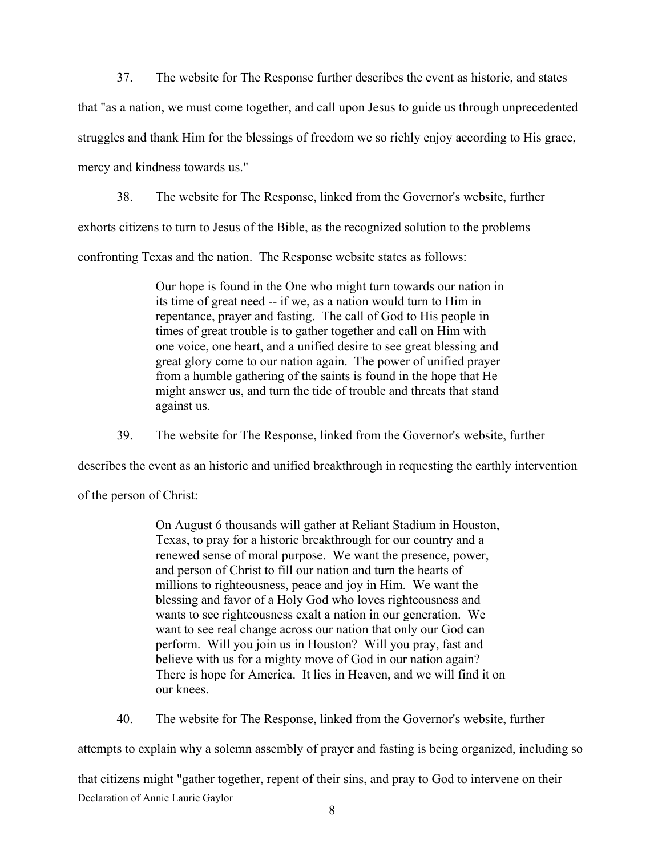37. The website for The Response further describes the event as historic, and states that "as a nation, we must come together, and call upon Jesus to guide us through unprecedented struggles and thank Him for the blessings of freedom we so richly enjoy according to His grace, mercy and kindness towards us."

38. The website for The Response, linked from the Governor's website, further exhorts citizens to turn to Jesus of the Bible, as the recognized solution to the problems confronting Texas and the nation. The Response website states as follows:

> Our hope is found in the One who might turn towards our nation in its time of great need -- if we, as a nation would turn to Him in repentance, prayer and fasting. The call of God to His people in times of great trouble is to gather together and call on Him with one voice, one heart, and a unified desire to see great blessing and great glory come to our nation again. The power of unified prayer from a humble gathering of the saints is found in the hope that He might answer us, and turn the tide of trouble and threats that stand against us.

39. The website for The Response, linked from the Governor's website, further

describes the event as an historic and unified breakthrough in requesting the earthly intervention

of the person of Christ:

On August 6 thousands will gather at Reliant Stadium in Houston, Texas, to pray for a historic breakthrough for our country and a renewed sense of moral purpose. We want the presence, power, and person of Christ to fill our nation and turn the hearts of millions to righteousness, peace and joy in Him. We want the blessing and favor of a Holy God who loves righteousness and wants to see righteousness exalt a nation in our generation. We want to see real change across our nation that only our God can perform. Will you join us in Houston? Will you pray, fast and believe with us for a mighty move of God in our nation again? There is hope for America. It lies in Heaven, and we will find it on our knees.

40. The website for The Response, linked from the Governor's website, further

attempts to explain why a solemn assembly of prayer and fasting is being organized, including so

Declaration of Annie Laurie Gaylor that citizens might "gather together, repent of their sins, and pray to God to intervene on their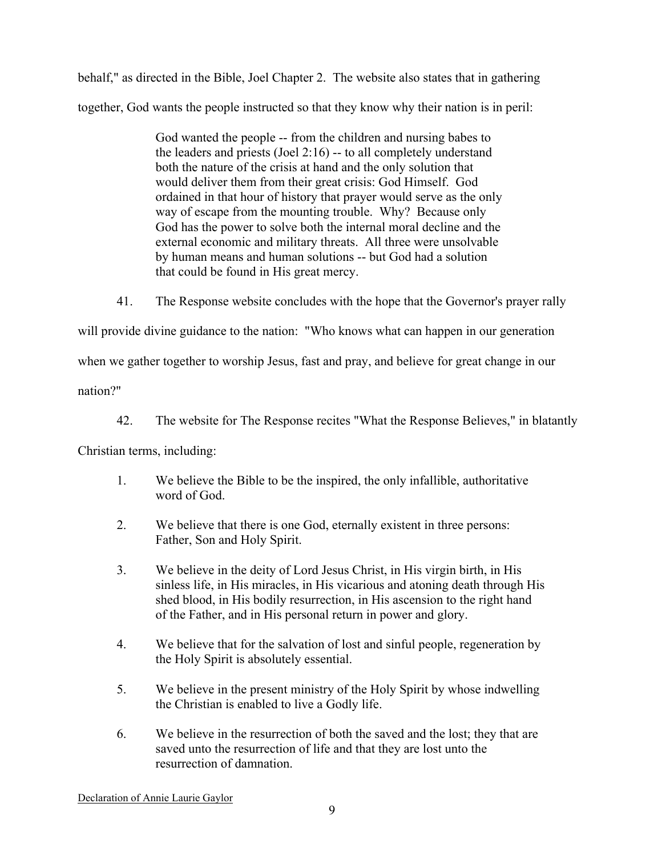behalf," as directed in the Bible, Joel Chapter 2. The website also states that in gathering together, God wants the people instructed so that they know why their nation is in peril:

> God wanted the people -- from the children and nursing babes to the leaders and priests (Joel 2:16) -- to all completely understand both the nature of the crisis at hand and the only solution that would deliver them from their great crisis: God Himself. God ordained in that hour of history that prayer would serve as the only way of escape from the mounting trouble. Why? Because only God has the power to solve both the internal moral decline and the external economic and military threats. All three were unsolvable by human means and human solutions -- but God had a solution that could be found in His great mercy.

41. The Response website concludes with the hope that the Governor's prayer rally

will provide divine guidance to the nation: "Who knows what can happen in our generation

when we gather together to worship Jesus, fast and pray, and believe for great change in our

nation?"

42. The website for The Response recites "What the Response Believes," in blatantly

Christian terms, including:

- 1. We believe the Bible to be the inspired, the only infallible, authoritative word of God.
- 2. We believe that there is one God, eternally existent in three persons: Father, Son and Holy Spirit.
- 3. We believe in the deity of Lord Jesus Christ, in His virgin birth, in His sinless life, in His miracles, in His vicarious and atoning death through His shed blood, in His bodily resurrection, in His ascension to the right hand of the Father, and in His personal return in power and glory.
- 4. We believe that for the salvation of lost and sinful people, regeneration by the Holy Spirit is absolutely essential.
- 5. We believe in the present ministry of the Holy Spirit by whose indwelling the Christian is enabled to live a Godly life.
- 6. We believe in the resurrection of both the saved and the lost; they that are saved unto the resurrection of life and that they are lost unto the resurrection of damnation.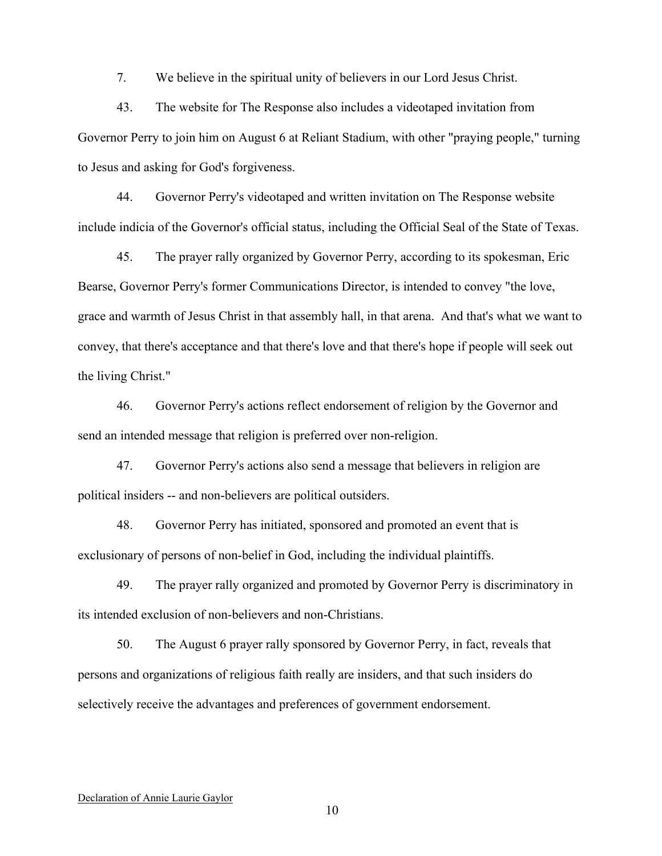7. We believe in the spiritual unity of believers in our Lord Jesus Christ.

43. The website for The Response also includes a videotaped invitation from Governor Perry to join him on August 6 at Reliant Stadium, with other "praying people," turning to Jesus and asking for God's forgiveness.

44. Governor Perry's videotaped and written invitation on The Response website include indicia of the Governor's official status, including the Official Seal of the State of Texas.

45. The prayer rally organized by Governor Perry, according to its spokesman, Eric Bearse, Governor Perry's former Communications Director, is intended to convey "the love, grace and warmth of Jesus Christ in that assembly hall, in that arena. And that's what we want to convey, that there's acceptance and that there's love and that there's hope if people will seek out the living Christ."

46. Governor Perry's actions reflect endorsement of religion by the Governor and send an intended message that religion is preferred over non-religion.

47. Governor Perry's actions also send a message that believers in religion are political insiders -- and non-believers are political outsiders.

48. Governor Perry has initiated, sponsored and promoted an event that is exclusionary of persons of non-belief in God, including the individual plaintiffs.

49. The prayer rally organized and promoted by Governor Perry is discriminatory in its intended exclusion of non-believers and non-Christians.

50. The August 6 prayer rally sponsored by Governor Perry, in fact, reveals that persons and organizations of religious faith really are insiders, and that such insiders do selectively receive the advantages and preferences of government endorsement.

#### Declaration of Annie Laurie Gaylor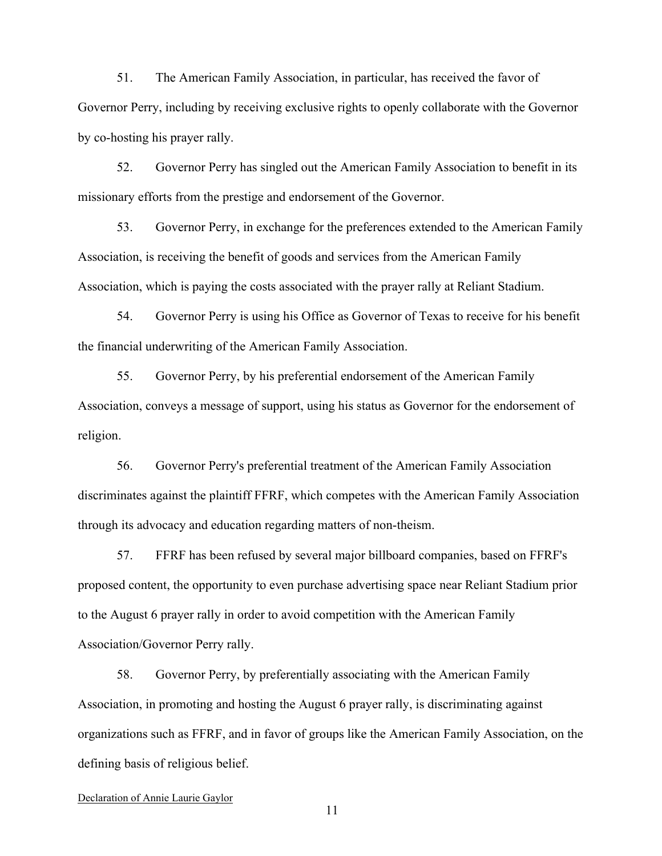51. The American Family Association, in particular, has received the favor of Governor Perry, including by receiving exclusive rights to openly collaborate with the Governor by co-hosting his prayer rally.

52. Governor Perry has singled out the American Family Association to benefit in its missionary efforts from the prestige and endorsement of the Governor.

53. Governor Perry, in exchange for the preferences extended to the American Family Association, is receiving the benefit of goods and services from the American Family Association, which is paying the costs associated with the prayer rally at Reliant Stadium.

54. Governor Perry is using his Office as Governor of Texas to receive for his benefit the financial underwriting of the American Family Association.

55. Governor Perry, by his preferential endorsement of the American Family Association, conveys a message of support, using his status as Governor for the endorsement of religion.

56. Governor Perry's preferential treatment of the American Family Association discriminates against the plaintiff FFRF, which competes with the American Family Association through its advocacy and education regarding matters of non-theism.

57. FFRF has been refused by several major billboard companies, based on FFRF's proposed content, the opportunity to even purchase advertising space near Reliant Stadium prior to the August 6 prayer rally in order to avoid competition with the American Family Association/Governor Perry rally.

58. Governor Perry, by preferentially associating with the American Family Association, in promoting and hosting the August 6 prayer rally, is discriminating against organizations such as FFRF, and in favor of groups like the American Family Association, on the defining basis of religious belief.

### Declaration of Annie Laurie Gaylor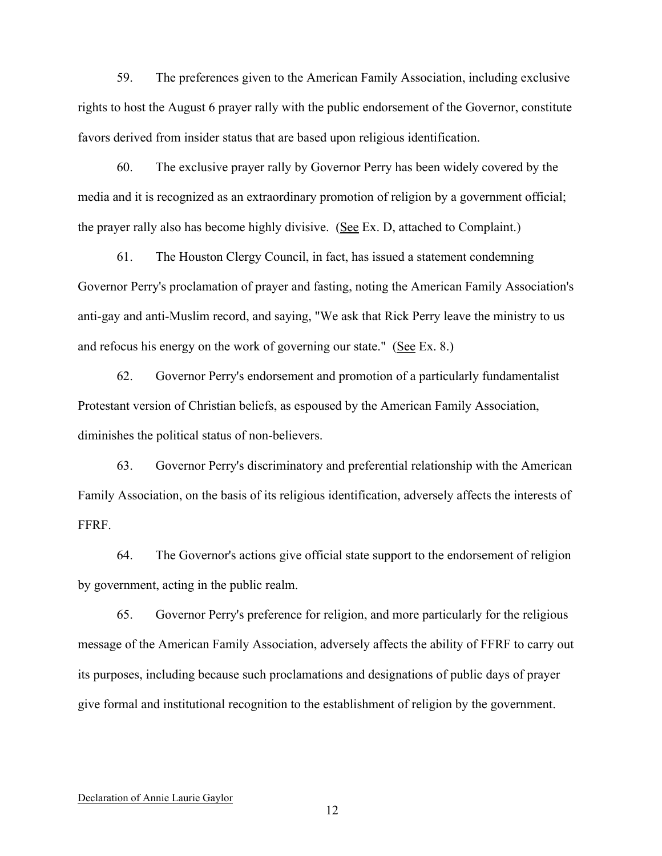59. The preferences given to the American Family Association, including exclusive rights to host the August 6 prayer rally with the public endorsement of the Governor, constitute favors derived from insider status that are based upon religious identification.

60. The exclusive prayer rally by Governor Perry has been widely covered by the media and it is recognized as an extraordinary promotion of religion by a government official; the prayer rally also has become highly divisive. (See Ex. D, attached to Complaint.)

61. The Houston Clergy Council, in fact, has issued a statement condemning Governor Perry's proclamation of prayer and fasting, noting the American Family Association's anti-gay and anti-Muslim record, and saying, "We ask that Rick Perry leave the ministry to us and refocus his energy on the work of governing our state." (See Ex. 8.)

62. Governor Perry's endorsement and promotion of a particularly fundamentalist Protestant version of Christian beliefs, as espoused by the American Family Association, diminishes the political status of non-believers.

63. Governor Perry's discriminatory and preferential relationship with the American Family Association, on the basis of its religious identification, adversely affects the interests of FFRF.

64. The Governor's actions give official state support to the endorsement of religion by government, acting in the public realm.

65. Governor Perry's preference for religion, and more particularly for the religious message of the American Family Association, adversely affects the ability of FFRF to carry out its purposes, including because such proclamations and designations of public days of prayer give formal and institutional recognition to the establishment of religion by the government.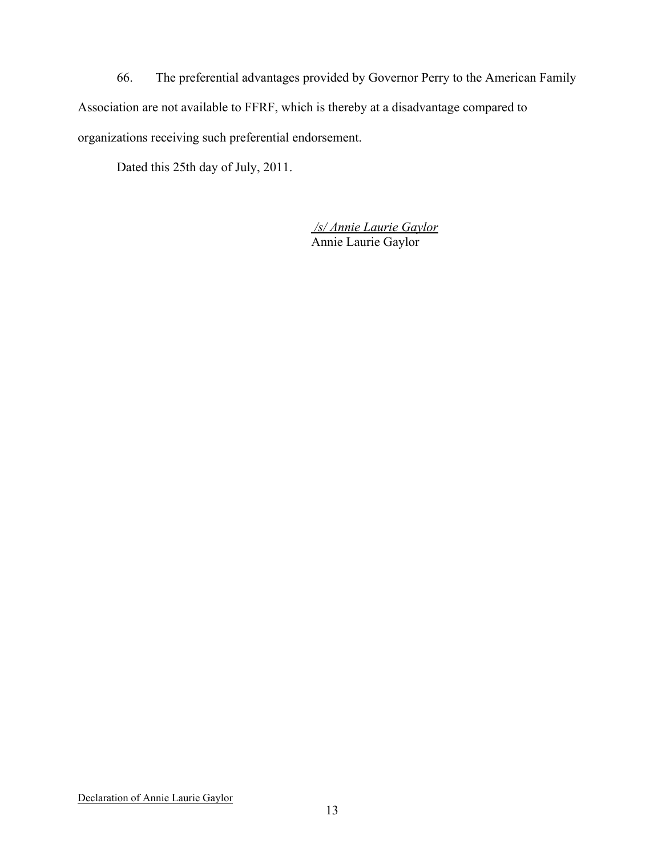66. The preferential advantages provided by Governor Perry to the American Family Association are not available to FFRF, which is thereby at a disadvantage compared to organizations receiving such preferential endorsement.

Dated this 25th day of July, 2011.

*/s/ Annie Laurie Gaylor* Annie Laurie Gaylor